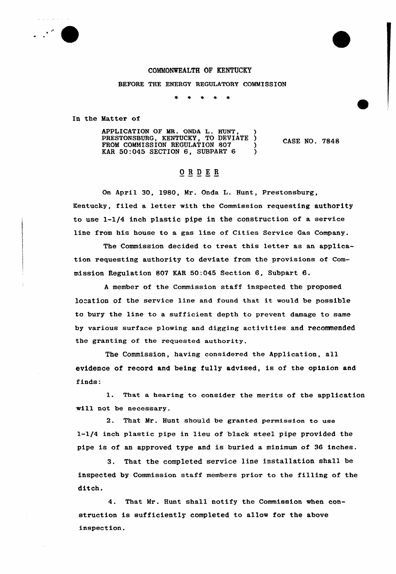## COMMONWEALTH OF KENTUCKY

BEFORE THE ENERGY REGULATORY COMMISSION

In the Matter of

APPLICATION OF MR. ONDA L. HUNT, PRESTONSBURG, KENTUCKY, TO DEVIATE ) FROM COMMISSION REGULATION 807 KAR 50:045 SECTION 6, SUBPART 6

CASE NO. 7848

## ORDER

On April 30, 1980, Mr. Onda L. Hunt, Prestonsburg, Kentucky, filed a letter with the Commission requesting authority to use l-l/4 inch plastic pipe in the construction of a service line from his house to a gas line of Cities Service Gas Company.

The Commission decided to treat this letter as an application requesting authority to deviate from the provisions of Commission Regulation 807 KAR 50:045 Section 6, Subpart 6.

<sup>A</sup> member of the Commission staff inspected the proposed location of the service line and found that it would be possible to bury the line to a sufficient depth to prevent damage to same by various surface plowing and digging activities and recommended the granting of the requested authority.

The Commission, having considered the Application, all evidence of record and being fully advised, is of the opinion and finds:

l. That <sup>a</sup> hearing to consider the merits of the application will not be necessary.

2. That Mr. Hunt should be granted permission to use l-l/4 inch plastic pipe in lieu of black steel pipe provided the pipe is of an approved type and is buried a minimum of 36 inches.

3. That the completed service line installation shall be inspected by Commission staff members prior to the filling of the ditch.

4. That Mr. Hunt shall notify the Commission when construction is sufficiently completed to allow for the above inspection.